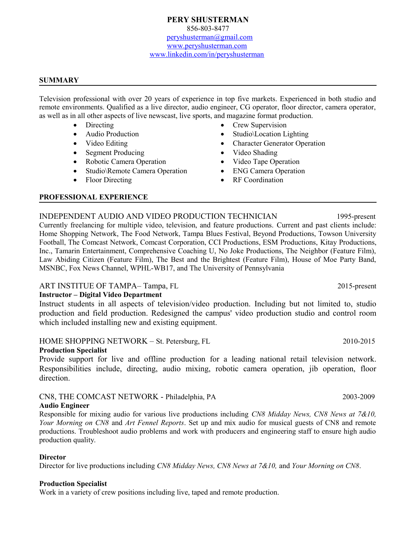#### **SUMMARY**

Television professional with over 20 years of experience in top five markets. Experienced in both studio and remote environments. Qualified as a live director, audio engineer, CG operator, floor director, camera operator, as well as in all other aspects of live newscast, live sports, and magazine format production.

- Directing
- Audio Production
- Video Editing
- Segment Producing
- Robotic Camera Operation
- Studio\Remote Camera Operation
- Floor Directing
- Crew Supervision
- Studio\Location Lighting
- Character Generator Operation
- Video Shading
- Video Tape Operation
- ENG Camera Operation
- RF Coordination

#### **PROFESSIONAL EXPERIENCE**

## INDEPENDENT AUDIO AND VIDEO PRODUCTION TECHNICIAN 1995-present

Currently freelancing for multiple video, television, and feature productions. Current and past clients include: Home Shopping Network, The Food Network, Tampa Blues Festival, Beyond Productions, Towson University Football, The Comcast Network, Comcast Corporation, CCI Productions, ESM Productions, Kitay Productions, Inc., Tamarin Entertainment, Comprehensive Coaching U, No Joke Productions, The Neighbor (Feature Film), Law Abiding Citizen (Feature Film), The Best and the Brightest (Feature Film), House of Moe Party Band, MSNBC, Fox News Channel, WPHL-WB17, and The University of Pennsylvania

## ART INSTITUE OF TAMPA-Tampa, FL 2015-present

## **Instructor – Digital Video Department**

Instruct students in all aspects of television/video production. Including but not limited to, studio production and field production. Redesigned the campus' video production studio and control room which included installing new and existing equipment.

# HOME SHOPPING NETWORK – St. Petersburg, FL 2010-2015

## **Production Specialist**

Provide support for live and offline production for a leading national retail television network. Responsibilities include, directing, audio mixing, robotic camera operation, jib operation, floor direction.

## CN8, THE COMCAST NETWORK - Philadelphia, PA 2003-2009

**Audio Engineer**

Responsible for mixing audio for various live productions including *CN8 Midday News, CN8 News at 7&10, Your Morning on CN8* and *Art Fennel Reports*. Set up and mix audio for musical guests of CN8 and remote productions. Troubleshoot audio problems and work with producers and engineering staff to ensure high audio production quality.

## **Director**

Director for live productions including *CN8 Midday News, CN8 News at 7&10,* and *Your Morning on CN8*.

#### **Production Specialist**

Work in a variety of crew positions including live, taped and remote production.